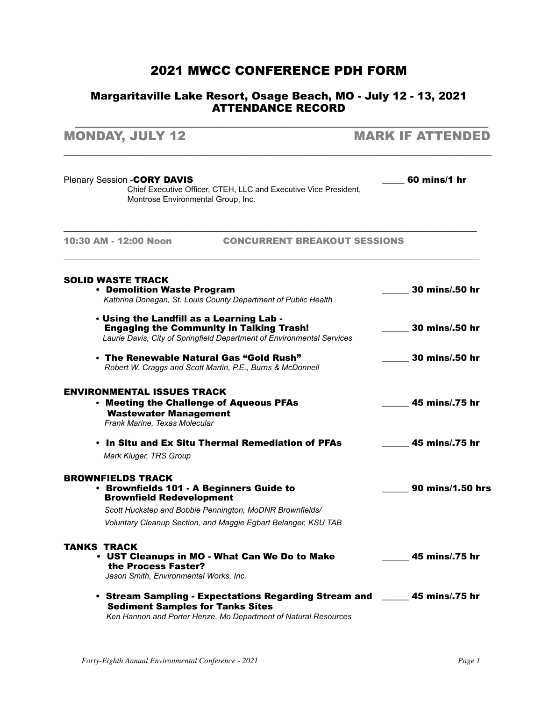### 2021 MWCC Conference PDH FORM

#### Margaritaville Lake Resort, Osage Beach, MO - July 12 - 13, 2021 ATTENDANCE RECORD

\_\_\_\_\_\_\_\_\_\_\_\_\_\_\_\_\_\_\_\_\_\_\_\_\_\_\_\_\_\_\_\_\_\_\_\_\_\_\_\_\_\_\_\_\_\_\_\_\_\_\_\_\_\_\_\_\_\_\_\_\_\_\_\_\_\_\_\_\_\_\_\_\_\_\_\_\_\_\_\_\_\_\_\_

| <b>MONDAY, JULY 12</b>                                                                                                                                                                                                                | <b>MARK IF ATTENDED</b> |
|---------------------------------------------------------------------------------------------------------------------------------------------------------------------------------------------------------------------------------------|-------------------------|
| Plenary Session - CORY DAVIS<br>Chief Executive Officer, CTEH, LLC and Executive Vice President,<br>Montrose Environmental Group, Inc.                                                                                                | 60 mins/1 hr            |
| 10:30 AM - 12:00 Noon<br><b>CONCURRENT BREAKOUT SESSIONS</b>                                                                                                                                                                          |                         |
| <b>SOLID WASTE TRACK</b><br>• Demolition Waste Program<br>Kathrina Donegan, St. Louis County Department of Public Health                                                                                                              | <b>30 mins/.50 hr</b>   |
| . Using the Landfill as a Learning Lab -<br><b>Engaging the Community in Talking Trash!</b><br>Laurie Davis, City of Springfield Department of Environmental Services                                                                 | 30 mins/.50 hr          |
| $\cdot$ The Renewable Natural Gas "Gold Rush"<br>Robert W. Craggs and Scott Martin, P.E., Burns & McDonnell                                                                                                                           | 30 mins/.50 hr          |
| <b>ENVIRONMENTAL ISSUES TRACK</b><br>• Meeting the Challenge of Aqueous PFAs<br><b>Wastewater Management</b><br>Frank Marine, Texas Molecular                                                                                         | 45 mins/.75 hr          |
| • In Situ and Ex Situ Thermal Remediation of PFAs<br>Mark Kluger, TRS Group                                                                                                                                                           | 45 mins/.75 hr          |
| <b>BROWNFIELDS TRACK</b><br>• Brownfields 101 - A Beginners Guide to<br><b>Brownfield Redevelopment</b><br>Scott Huckstep and Bobbie Pennington, MoDNR Brownfields/<br>Voluntary Cleanup Section, and Maggie Egbart Belanger, KSU TAB | 90 mins/1.50 hrs        |
| <b>TANKS TRACK</b><br>• UST Cleanups in MO - What Can We Do to Make<br>the Process Faster?<br>Jason Smith, Environmental Works, Inc.                                                                                                  | 45 mins/.75 hr          |
| • Stream Sampling - Expectations Regarding Stream and ______ 45 mins/.75 hr<br><b>Sediment Samples for Tanks Sites</b><br>Ken Hannon and Porter Henze, Mo Denartment of Natural Resources                                             |                         |

*Ken Hannon and Porter Henze, Mo Department of Natural Resources*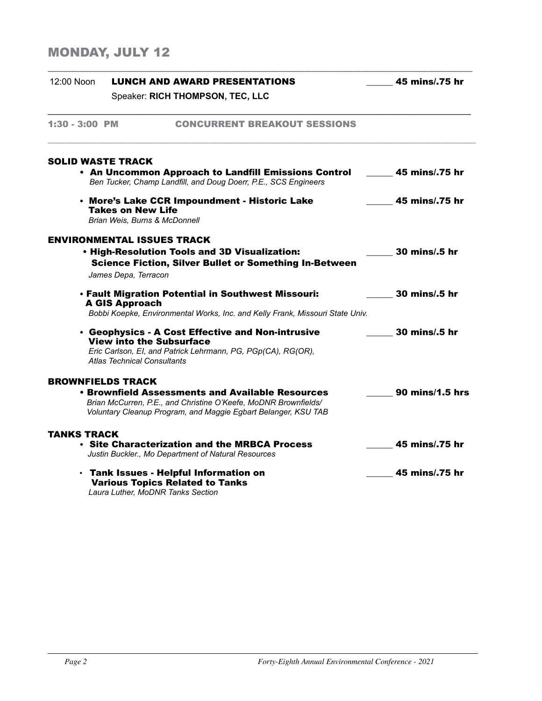# Monday, July 12

| 12:00 Noon               |                                                                       | <b>LUNCH AND AWARD PRESENTATIONS</b>                                                                                                                                                         | 45 mins/.75 hr       |
|--------------------------|-----------------------------------------------------------------------|----------------------------------------------------------------------------------------------------------------------------------------------------------------------------------------------|----------------------|
|                          |                                                                       | Speaker: RICH THOMPSON, TEC, LLC                                                                                                                                                             |                      |
| 1:30 - 3:00 PM           |                                                                       | <b>CONCURRENT BREAKOUT SESSIONS</b>                                                                                                                                                          |                      |
| <b>SOLID WASTE TRACK</b> |                                                                       | • An Uncommon Approach to Landfill Emissions Control                                                                                                                                         | 45 mins/.75 hr       |
|                          |                                                                       | Ben Tucker, Champ Landfill, and Doug Doerr, P.E., SCS Engineers                                                                                                                              |                      |
|                          | <b>Takes on New Life</b><br>Brian Weis, Burns & McDonnell             | • More's Lake CCR Impoundment - Historic Lake                                                                                                                                                | 45 mins/.75 hr       |
|                          | <b>ENVIRONMENTAL ISSUES TRACK</b><br>James Depa, Terracon             | . High-Resolution Tools and 3D Visualization:<br><b>Science Fiction, Silver Bullet or Something In-Between</b>                                                                               | <b>30 mins/.5 hr</b> |
|                          | <b>A GIS Approach</b>                                                 | . Fault Migration Potential in Southwest Missouri:<br>Bobbi Koepke, Environmental Works, Inc. and Kelly Frank, Missouri State Univ.                                                          | 30 mins/.5 hr        |
|                          | <b>View into the Subsurface</b><br><b>Atlas Technical Consultants</b> | • Geophysics - A Cost Effective and Non-intrusive<br>Eric Carlson, El, and Patrick Lehrmann, PG, PGp(CA), RG(OR),                                                                            | 30 mins/.5 hr        |
| <b>BROWNFIELDS TRACK</b> |                                                                       |                                                                                                                                                                                              |                      |
|                          |                                                                       | <b>• Brownfield Assessments and Available Resources</b><br>Brian McCurren, P.E., and Christine O'Keefe, MoDNR Brownfields/<br>Voluntary Cleanup Program, and Maggie Egbart Belanger, KSU TAB | 90 mins/1.5 hrs      |
| TANKS TRACK              |                                                                       |                                                                                                                                                                                              |                      |
|                          |                                                                       | $\cdot$ Site Characterization and the MRBCA Process<br>Justin Buckler., Mo Department of Natural Resources                                                                                   | 45 mins/.75 hr       |
|                          | Laura Luther, MoDNR Tanks Section                                     | · Tank Issues - Helpful Information on<br><b>Various Topics Related to Tanks</b>                                                                                                             | 45 mins/.75 hr       |

\_\_\_\_\_\_\_\_\_\_\_\_\_\_\_\_\_\_\_\_\_\_\_\_\_\_\_\_\_\_\_\_\_\_\_\_\_\_\_\_\_\_\_\_\_\_\_\_\_\_\_\_\_\_\_\_\_\_\_\_\_\_\_\_\_\_\_\_\_\_\_\_\_\_\_\_\_\_\_\_\_\_\_\_\_\_\_\_\_\_\_\_\_\_\_\_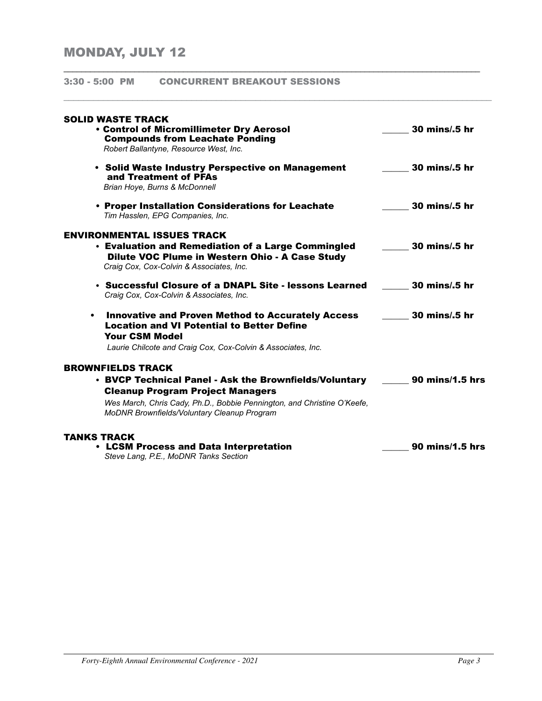3:30 - 5:00 PM CONCURRENT BREAKOUT SESSIONS

| SOLID WASTE TRACK<br><b>• Control of Micromillimeter Dry Aerosol</b><br><b>Compounds from Leachate Ponding</b><br>Robert Ballantyne, Resource West, Inc.                                                                                                | 30 mins/.5 hr   |
|---------------------------------------------------------------------------------------------------------------------------------------------------------------------------------------------------------------------------------------------------------|-----------------|
| • Solid Waste Industry Perspective on Management<br>and Treatment of PFAs<br>Brian Hoye, Burns & McDonnell                                                                                                                                              | 30 mins/.5 hr   |
| • Proper Installation Considerations for Leachate<br>Tim Hasslen, EPG Companies, Inc.                                                                                                                                                                   | 30 mins/.5 hr   |
| ENVIRONMENTAL ISSUES TRACK<br>• Evaluation and Remediation of a Large Commingled<br>Dilute VOC Plume in Western Ohio - A Case Study<br>Craig Cox, Cox-Colvin & Associates, Inc.                                                                         | 30 mins/.5 hr   |
| • Successful Closure of a DNAPL Site - lessons Learned<br>Craig Cox, Cox-Colvin & Associates, Inc.                                                                                                                                                      | 30 mins/.5 hr   |
| <b>Innovative and Proven Method to Accurately Access</b><br>٠<br><b>Location and VI Potential to Better Define</b><br><b>Your CSM Model</b><br>Laurie Chilcote and Craig Cox, Cox-Colvin & Associates, Inc.                                             | 30 mins/.5 hr   |
| <b>BROWNFIELDS TRACK</b><br>• BVCP Technical Panel - Ask the Brownfields/Voluntary<br><b>Cleanup Program Project Managers</b><br>Wes March, Chris Cady, Ph.D., Bobbie Pennington, and Christine O'Keefe,<br>MoDNR Brownfields/Voluntary Cleanup Program | 90 mins/1.5 hrs |
| TANKS TRACK<br>• LCSM Process and Data Interpretation<br>Steve Lang, P.E., MoDNR Tanks Section                                                                                                                                                          | 90 mins/1.5 hrs |

\_\_\_\_\_\_\_\_\_\_\_\_\_\_\_\_\_\_\_\_\_\_\_\_\_\_\_\_\_\_\_\_\_\_\_\_\_\_\_\_\_\_\_\_\_\_\_\_\_\_\_\_\_\_\_\_\_\_\_\_\_\_\_\_\_\_\_\_\_\_\_\_\_\_\_\_\_\_\_\_\_\_\_\_\_\_\_\_\_\_\_\_\_\_

 $\Box$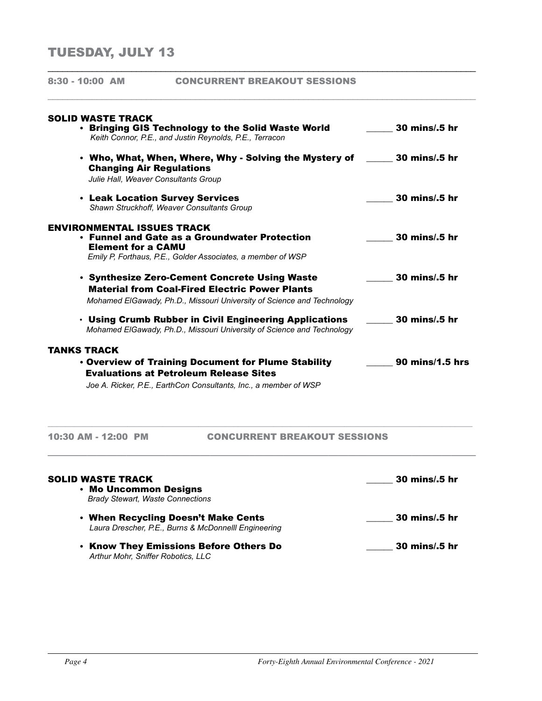## TUESDAY, JULY 13

| 8:30 - 10:00 AM                                                | <b>CONCURRENT BREAKOUT SESSIONS</b>                                                                                                                                              |                      |
|----------------------------------------------------------------|----------------------------------------------------------------------------------------------------------------------------------------------------------------------------------|----------------------|
| <b>SOLID WASTE TRACK</b>                                       | • Bringing GIS Technology to the Solid Waste World                                                                                                                               | 30 mins/.5 hr        |
|                                                                | Keith Connor, P.E., and Justin Reynolds, P.E., Terracon                                                                                                                          |                      |
| <b>Changing Air Regulations</b>                                | • Who, What, When, Where, Why - Solving the Mystery of<br>Julie Hall, Weaver Consultants Group                                                                                   | 30 mins/.5 hr        |
|                                                                | • Leak Location Survey Services<br>Shawn Struckhoff, Weaver Consultants Group                                                                                                    | 30 mins/.5 hr        |
| <b>ENVIRONMENTAL ISSUES TRACK</b><br><b>Element for a CAMU</b> | • Funnel and Gate as a Groundwater Protection<br>Emily P, Forthaus, P.E., Golder Associates, a member of WSP                                                                     | 30 mins/.5 hr        |
|                                                                | • Synthesize Zero-Cement Concrete Using Waste<br><b>Material from Coal-Fired Electric Power Plants</b><br>Mohamed ElGawady, Ph.D., Missouri University of Science and Technology | <b>30 mins/.5 hr</b> |
|                                                                | • Using Crumb Rubber in Civil Engineering Applications<br>Mohamed ElGawady, Ph.D., Missouri University of Science and Technology                                                 | 30 mins/.5 hr        |
| <b>TANKS TRACK</b>                                             |                                                                                                                                                                                  |                      |
|                                                                | . Overview of Training Document for Plume Stability<br><b>Evaluations at Petroleum Release Sites</b>                                                                             | 90 mins/1.5 hrs      |
|                                                                | Joe A. Ricker, P.E., EarthCon Consultants, Inc., a member of WSP                                                                                                                 |                      |
| 10:30 AM - 12:00 PM                                            | <b>CONCURRENT BREAKOUT SESSIONS</b>                                                                                                                                              |                      |
| <b>SOLID WASTE TRACK</b><br>• Mo Uncommon Designs              |                                                                                                                                                                                  | 30 mins/.5 hr        |

\_\_\_\_\_\_\_\_\_\_\_\_\_\_\_\_\_\_\_\_\_\_\_\_\_\_\_\_\_\_\_\_\_\_\_\_\_\_\_\_\_\_\_\_\_\_\_\_\_\_\_\_\_\_\_\_\_\_\_\_\_\_\_\_\_\_\_\_\_\_\_\_\_\_\_\_\_\_\_\_\_\_\_\_\_\_\_

- *Brady Stewart, Waste Connections* • When Recycling Doesn't Make Cents \_\_\_\_\_\_ 30 mins/.5 hr *Laura Drescher, P.E., Burns & McDonnelll Engineering*
	- Know They Emissions Before Others Do \_\_\_\_\_\_ 30 mins/.5 hr *Arthur Mohr, Sniffer Robotics, LLC*